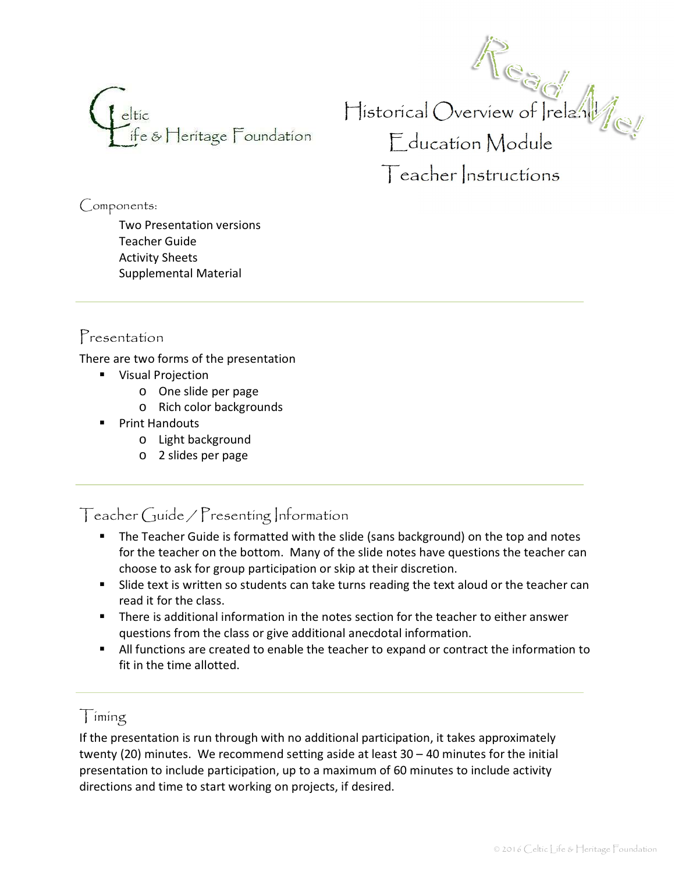

Historical Overview of Ireland Education Module Teacher Instructions

Components:

Two Presentation versions Teacher Guide Activity Sheets Supplemental Material

### Presentation

There are two forms of the presentation

- **Wisual Projection** 
	- o One slide per page
	- o Rich color backgrounds
- **•** Print Handouts
	- o Light background
	- o 2 slides per page

Teacher Guide / Presenting Information

- **•** The Teacher Guide is formatted with the slide (sans background) on the top and notes for the teacher on the bottom. Many of the slide notes have questions the teacher can choose to ask for group participation or skip at their discretion.
- **Slide text is written so students can take turns reading the text aloud or the teacher can** read it for the class.
- � There is additional information in the notes section for the teacher to either answer questions from the class or give additional anecdotal information.
- � All functions are created to enable the teacher to expand or contract the information to fit in the time allotted.

# $\int$  iming

If the presentation is run through with no additional participation, it takes approximately twenty (20) minutes. We recommend setting aside at least  $30 - 40$  minutes for the initial presentation to include participation, up to a maximum of 60 minutes to include activity directions and time to start working on projects, if desired.